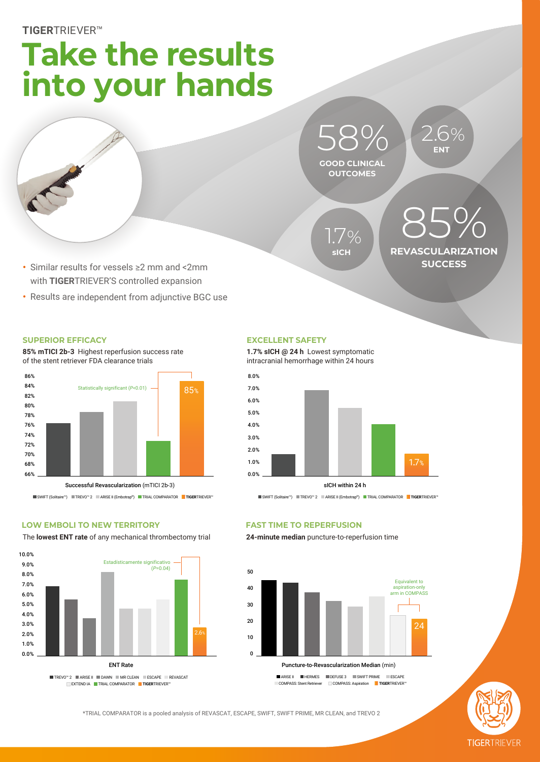# **Take the results into your hands**



**GOOD CLINICAL OUTCOMES** 58% **ENT**

**sICH** 1.7% **REVASCULARIZATION SUCCESS** 85%

2.6%

- **•** Similar results for vessels ≥2 mm and <2mm with **TIGER**TRIEVER'S controlled expansion
- **•** Results are independent from adjunctive BGC use

### **SUPERIOR EFFICACY**

**85% mTICI 2b-3** Highest reperfusion success rate of the stent retriever FDA clearance trials



SWIFT (Solitaire™) TREVO™ 2 ARISE II (Embotrap®) TRIAL COMPARATOR **TIGER**TRIEVER™

### **LOW EMBOLI TO NEW TERRITORY**

The **lowest ENT rate** of any mechanical thrombectomy trial



### **EXCELLENT SAFETY**

**1.7% sICH @ 24 h** Lowest symptomatic intracranial hemorrhage within 24 hours



sICH within 24 h

SWIFT (Solitaire™) TREVO™ 2 ARISE II (Embotrap®) TRIAL COMPARATOR **TIGER**TRIEVER™

### **FAST TIME TO REPERFUSION**

**24-minute median** puncture-to-reperfusion time



COMPASS: Stent Retriever COMPASS: Aspiration TIGERTRIEVER<sup>™</sup>

\*TRIAL COMPARATOR is a pooled analysis of REVASCAT, ESCAPE, SWIFT, SWIFT PRIME, MR CLEAN, and TREVO 2